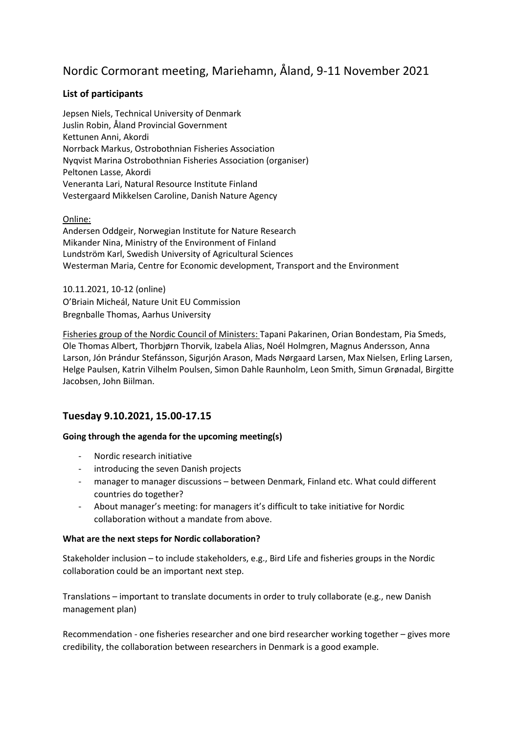# Nordic Cormorant meeting, Mariehamn, Åland, 9-11 November 2021

# **List of participants**

Jepsen Niels, Technical University of Denmark Juslin Robin, Åland Provincial Government Kettunen Anni, Akordi Norrback Markus, Ostrobothnian Fisheries Association Nyqvist Marina Ostrobothnian Fisheries Association (organiser) Peltonen Lasse, Akordi Veneranta Lari, Natural Resource Institute Finland Vestergaard Mikkelsen Caroline, Danish Nature Agency

Online:

Andersen Oddgeir, Norwegian Institute for Nature Research Mikander Nina, Ministry of the Environment of Finland Lundström Karl, Swedish University of Agricultural Sciences Westerman Maria, Centre for Economic development, Transport and the Environment

10.11.2021, 10-12 (online) O'Briain Micheál, Nature Unit EU Commission Bregnballe Thomas, Aarhus University

Fisheries group of the Nordic Council of Ministers: Tapani Pakarinen, Orian Bondestam, Pia Smeds, Ole Thomas Albert, Thorbjørn Thorvik, Izabela Alias, Noél Holmgren, Magnus Andersson, Anna Larson, Jón Þrándur Stefánsson, Sigurjón Arason, Mads Nørgaard Larsen, Max Nielsen, Erling Larsen, Helge Paulsen, Katrin Vilhelm Poulsen, Simon Dahle Raunholm, Leon Smith, Simun Grønadal, Birgitte Jacobsen, John Biilman.

# **Tuesday 9.10.2021, 15.00-17.15**

#### **Going through the agenda for the upcoming meeting(s)**

- Nordic research initiative
- introducing the seven Danish projects
- manager to manager discussions between Denmark, Finland etc. What could different countries do together?
- About manager's meeting: for managers it's difficult to take initiative for Nordic collaboration without a mandate from above.

#### **What are the next steps for Nordic collaboration?**

Stakeholder inclusion – to include stakeholders, e.g., Bird Life and fisheries groups in the Nordic collaboration could be an important next step.

Translations – important to translate documents in order to truly collaborate (e.g., new Danish management plan)

Recommendation - one fisheries researcher and one bird researcher working together – gives more credibility, the collaboration between researchers in Denmark is a good example.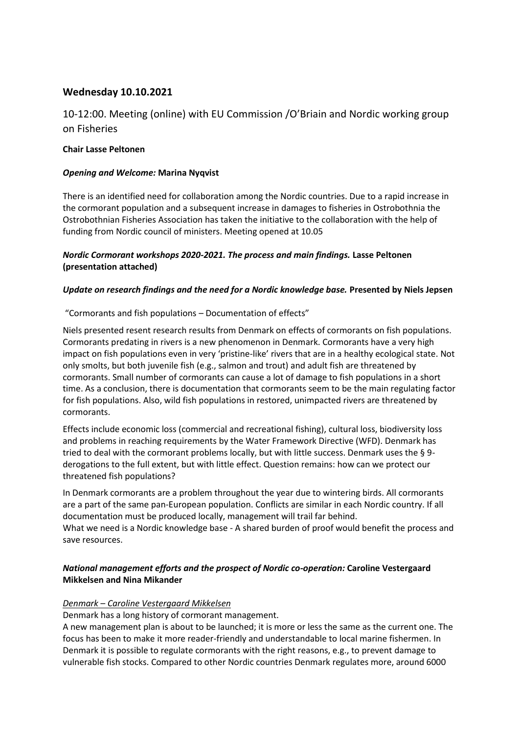# **Wednesday 10.10.2021**

# 10-12:00. Meeting (online) with EU Commission /O'Briain and Nordic working group on Fisheries

#### **Chair Lasse Peltonen**

#### *Opening and Welcome:* **Marina Nyqvist**

There is an identified need for collaboration among the Nordic countries. Due to a rapid increase in the cormorant population and a subsequent increase in damages to fisheries in Ostrobothnia the Ostrobothnian Fisheries Association has taken the initiative to the collaboration with the help of funding from Nordic council of ministers. Meeting opened at 10.05

# *Nordic Cormorant workshops 2020-2021. The process and main findings.* **Lasse Peltonen (presentation attached)**

#### *Update on research findings and the need for a Nordic knowledge base.* **Presented by Niels Jepsen**

"Cormorants and fish populations – Documentation of effects"

Niels presented resent research results from Denmark on effects of cormorants on fish populations. Cormorants predating in rivers is a new phenomenon in Denmark. Cormorants have a very high impact on fish populations even in very 'pristine-like' rivers that are in a healthy ecological state. Not only smolts, but both juvenile fish (e.g., salmon and trout) and adult fish are threatened by cormorants. Small number of cormorants can cause a lot of damage to fish populations in a short time. As a conclusion, there is documentation that cormorants seem to be the main regulating factor for fish populations. Also, wild fish populations in restored, unimpacted rivers are threatened by cormorants.

Effects include economic loss (commercial and recreational fishing), cultural loss, biodiversity loss and problems in reaching requirements by the Water Framework Directive (WFD). Denmark has tried to deal with the cormorant problems locally, but with little success. Denmark uses the § 9 derogations to the full extent, but with little effect. Question remains: how can we protect our threatened fish populations?

In Denmark cormorants are a problem throughout the year due to wintering birds. All cormorants are a part of the same pan-European population. Conflicts are similar in each Nordic country. If all documentation must be produced locally, management will trail far behind.

What we need is a Nordic knowledge base - A shared burden of proof would benefit the process and save resources.

# *National management efforts and the prospect of Nordic co-operation:* **Caroline Vestergaard Mikkelsen and Nina Mikander**

#### *Denmark – Caroline Vestergaard Mikkelsen*

Denmark has a long history of cormorant management.

A new management plan is about to be launched; it is more or less the same as the current one. The focus has been to make it more reader-friendly and understandable to local marine fishermen. In Denmark it is possible to regulate cormorants with the right reasons, e.g., to prevent damage to vulnerable fish stocks. Compared to other Nordic countries Denmark regulates more, around 6000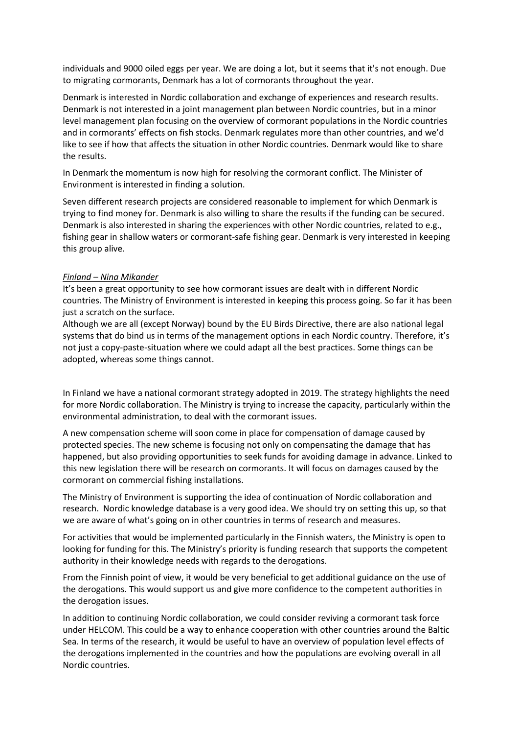individuals and 9000 oiled eggs per year. We are doing a lot, but it seems that it's not enough. Due to migrating cormorants, Denmark has a lot of cormorants throughout the year.

Denmark is interested in Nordic collaboration and exchange of experiences and research results. Denmark is not interested in a joint management plan between Nordic countries, but in a minor level management plan focusing on the overview of cormorant populations in the Nordic countries and in cormorants' effects on fish stocks. Denmark regulates more than other countries, and we'd like to see if how that affects the situation in other Nordic countries. Denmark would like to share the results.

In Denmark the momentum is now high for resolving the cormorant conflict. The Minister of Environment is interested in finding a solution.

Seven different research projects are considered reasonable to implement for which Denmark is trying to find money for. Denmark is also willing to share the results if the funding can be secured. Denmark is also interested in sharing the experiences with other Nordic countries, related to e.g., fishing gear in shallow waters or cormorant-safe fishing gear. Denmark is very interested in keeping this group alive.

#### *Finland – Nina Mikander*

It's been a great opportunity to see how cormorant issues are dealt with in different Nordic countries. The Ministry of Environment is interested in keeping this process going. So far it has been just a scratch on the surface.

Although we are all (except Norway) bound by the EU Birds Directive, there are also national legal systems that do bind us in terms of the management options in each Nordic country. Therefore, it's not just a copy-paste-situation where we could adapt all the best practices. Some things can be adopted, whereas some things cannot.

In Finland we have a national cormorant strategy adopted in 2019. The strategy highlights the need for more Nordic collaboration. The Ministry is trying to increase the capacity, particularly within the environmental administration, to deal with the cormorant issues.

A new compensation scheme will soon come in place for compensation of damage caused by protected species. The new scheme is focusing not only on compensating the damage that has happened, but also providing opportunities to seek funds for avoiding damage in advance. Linked to this new legislation there will be research on cormorants. It will focus on damages caused by the cormorant on commercial fishing installations.

The Ministry of Environment is supporting the idea of continuation of Nordic collaboration and research. Nordic knowledge database is a very good idea. We should try on setting this up, so that we are aware of what's going on in other countries in terms of research and measures.

For activities that would be implemented particularly in the Finnish waters, the Ministry is open to looking for funding for this. The Ministry's priority is funding research that supports the competent authority in their knowledge needs with regards to the derogations.

From the Finnish point of view, it would be very beneficial to get additional guidance on the use of the derogations. This would support us and give more confidence to the competent authorities in the derogation issues.

In addition to continuing Nordic collaboration, we could consider reviving a cormorant task force under HELCOM. This could be a way to enhance cooperation with other countries around the Baltic Sea. In terms of the research, it would be useful to have an overview of population level effects of the derogations implemented in the countries and how the populations are evolving overall in all Nordic countries.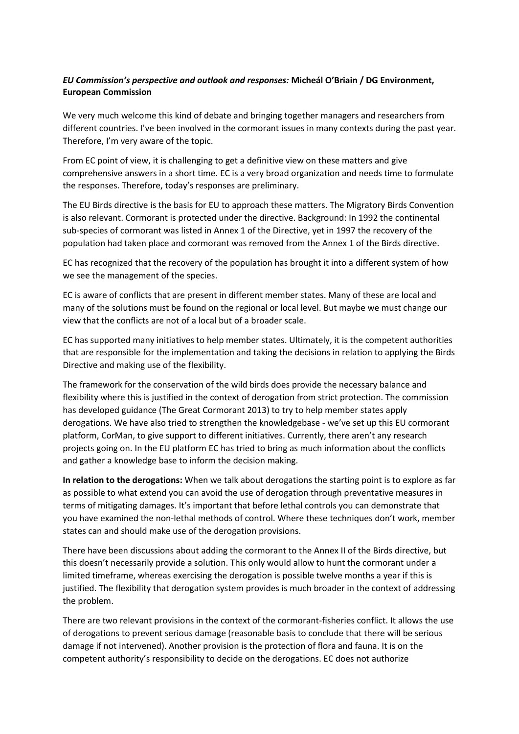# *EU Commission's perspective and outlook and responses:* **Micheál O'Briain / DG Environment, European Commission**

We very much welcome this kind of debate and bringing together managers and researchers from different countries. I've been involved in the cormorant issues in many contexts during the past year. Therefore, I'm very aware of the topic.

From EC point of view, it is challenging to get a definitive view on these matters and give comprehensive answers in a short time. EC is a very broad organization and needs time to formulate the responses. Therefore, today's responses are preliminary.

The EU Birds directive is the basis for EU to approach these matters. The Migratory Birds Convention is also relevant. Cormorant is protected under the directive. Background: In 1992 the continental sub-species of cormorant was listed in Annex 1 of the Directive, yet in 1997 the recovery of the population had taken place and cormorant was removed from the Annex 1 of the Birds directive.

EC has recognized that the recovery of the population has brought it into a different system of how we see the management of the species.

EC is aware of conflicts that are present in different member states. Many of these are local and many of the solutions must be found on the regional or local level. But maybe we must change our view that the conflicts are not of a local but of a broader scale.

EC has supported many initiatives to help member states. Ultimately, it is the competent authorities that are responsible for the implementation and taking the decisions in relation to applying the Birds Directive and making use of the flexibility.

The framework for the conservation of the wild birds does provide the necessary balance and flexibility where this is justified in the context of derogation from strict protection. The commission has developed guidance (The Great Cormorant 2013) to try to help member states apply derogations. We have also tried to strengthen the knowledgebase - we've set up this EU cormorant platform, CorMan, to give support to different initiatives. Currently, there aren't any research projects going on. In the EU platform EC has tried to bring as much information about the conflicts and gather a knowledge base to inform the decision making.

**In relation to the derogations:** When we talk about derogations the starting point is to explore as far as possible to what extend you can avoid the use of derogation through preventative measures in terms of mitigating damages. It's important that before lethal controls you can demonstrate that you have examined the non-lethal methods of control. Where these techniques don't work, member states can and should make use of the derogation provisions.

There have been discussions about adding the cormorant to the Annex II of the Birds directive, but this doesn't necessarily provide a solution. This only would allow to hunt the cormorant under a limited timeframe, whereas exercising the derogation is possible twelve months a year if this is justified. The flexibility that derogation system provides is much broader in the context of addressing the problem.

There are two relevant provisions in the context of the cormorant-fisheries conflict. It allows the use of derogations to prevent serious damage (reasonable basis to conclude that there will be serious damage if not intervened). Another provision is the protection of flora and fauna. It is on the competent authority's responsibility to decide on the derogations. EC does not authorize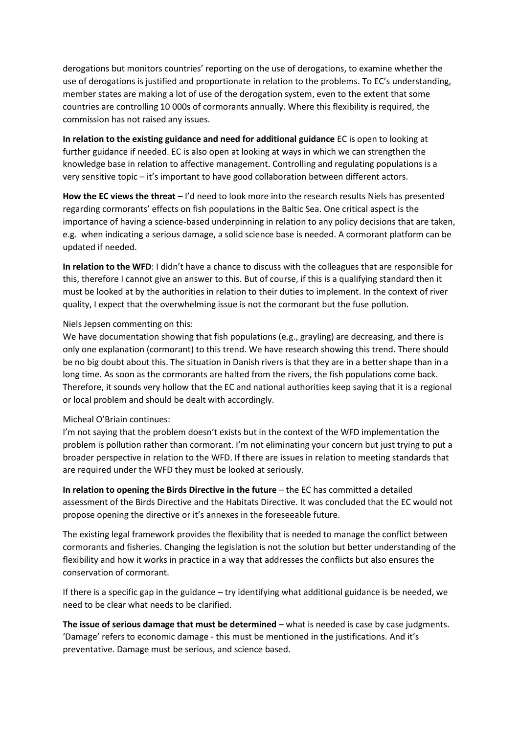derogations but monitors countries' reporting on the use of derogations, to examine whether the use of derogations is justified and proportionate in relation to the problems. To EC's understanding, member states are making a lot of use of the derogation system, even to the extent that some countries are controlling 10 000s of cormorants annually. Where this flexibility is required, the commission has not raised any issues.

**In relation to the existing guidance and need for additional guidance** EC is open to looking at further guidance if needed. EC is also open at looking at ways in which we can strengthen the knowledge base in relation to affective management. Controlling and regulating populations is a very sensitive topic – it's important to have good collaboration between different actors.

**How the EC views the threat** – I'd need to look more into the research results Niels has presented regarding cormorants' effects on fish populations in the Baltic Sea. One critical aspect is the importance of having a science-based underpinning in relation to any policy decisions that are taken, e.g. when indicating a serious damage, a solid science base is needed. A cormorant platform can be updated if needed.

**In relation to the WFD**: I didn't have a chance to discuss with the colleagues that are responsible for this, therefore I cannot give an answer to this. But of course, if this is a qualifying standard then it must be looked at by the authorities in relation to their duties to implement. In the context of river quality, I expect that the overwhelming issue is not the cormorant but the fuse pollution.

#### Niels Jepsen commenting on this:

We have documentation showing that fish populations (e.g., grayling) are decreasing, and there is only one explanation (cormorant) to this trend. We have research showing this trend. There should be no big doubt about this. The situation in Danish rivers is that they are in a better shape than in a long time. As soon as the cormorants are halted from the rivers, the fish populations come back. Therefore, it sounds very hollow that the EC and national authorities keep saying that it is a regional or local problem and should be dealt with accordingly.

#### Micheal O'Briain continues:

I'm not saying that the problem doesn't exists but in the context of the WFD implementation the problem is pollution rather than cormorant. I'm not eliminating your concern but just trying to put a broader perspective in relation to the WFD. If there are issues in relation to meeting standards that are required under the WFD they must be looked at seriously.

**In relation to opening the Birds Directive in the future** – the EC has committed a detailed assessment of the Birds Directive and the Habitats Directive. It was concluded that the EC would not propose opening the directive or it's annexes in the foreseeable future.

The existing legal framework provides the flexibility that is needed to manage the conflict between cormorants and fisheries. Changing the legislation is not the solution but better understanding of the flexibility and how it works in practice in a way that addresses the conflicts but also ensures the conservation of cormorant.

If there is a specific gap in the guidance – try identifying what additional guidance is be needed, we need to be clear what needs to be clarified.

**The issue of serious damage that must be determined** – what is needed is case by case judgments. 'Damage' refers to economic damage - this must be mentioned in the justifications. And it's preventative. Damage must be serious, and science based.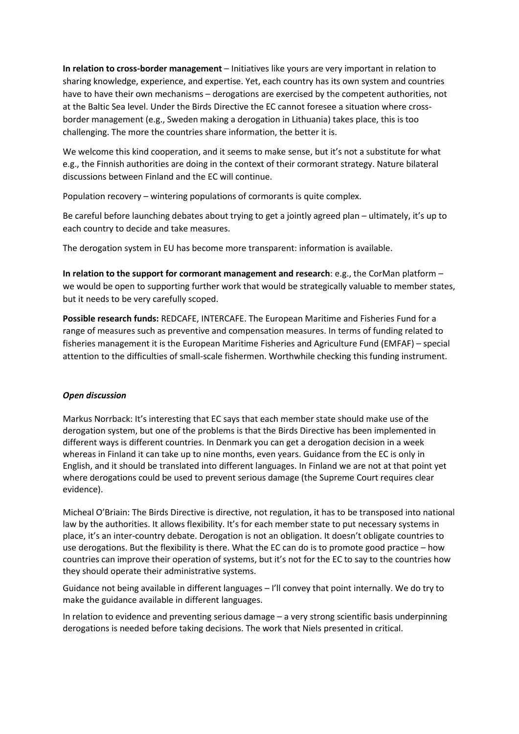**In relation to cross-border management** – Initiatives like yours are very important in relation to sharing knowledge, experience, and expertise. Yet, each country has its own system and countries have to have their own mechanisms – derogations are exercised by the competent authorities, not at the Baltic Sea level. Under the Birds Directive the EC cannot foresee a situation where crossborder management (e.g., Sweden making a derogation in Lithuania) takes place, this is too challenging. The more the countries share information, the better it is.

We welcome this kind cooperation, and it seems to make sense, but it's not a substitute for what e.g., the Finnish authorities are doing in the context of their cormorant strategy. Nature bilateral discussions between Finland and the EC will continue.

Population recovery – wintering populations of cormorants is quite complex.

Be careful before launching debates about trying to get a jointly agreed plan – ultimately, it's up to each country to decide and take measures.

The derogation system in EU has become more transparent: information is available.

**In relation to the support for cormorant management and research**: e.g., the CorMan platform – we would be open to supporting further work that would be strategically valuable to member states, but it needs to be very carefully scoped.

**Possible research funds:** REDCAFE, INTERCAFE. The European Maritime and Fisheries Fund for a range of measures such as preventive and compensation measures. In terms of funding related to fisheries management it is the European Maritime Fisheries and Agriculture Fund (EMFAF) – special attention to the difficulties of small-scale fishermen. Worthwhile checking this funding instrument.

# *Open discussion*

Markus Norrback: It's interesting that EC says that each member state should make use of the derogation system, but one of the problems is that the Birds Directive has been implemented in different ways is different countries. In Denmark you can get a derogation decision in a week whereas in Finland it can take up to nine months, even years. Guidance from the EC is only in English, and it should be translated into different languages. In Finland we are not at that point yet where derogations could be used to prevent serious damage (the Supreme Court requires clear evidence).

Micheal O'Briain: The Birds Directive is directive, not regulation, it has to be transposed into national law by the authorities. It allows flexibility. It's for each member state to put necessary systems in place, it's an inter-country debate. Derogation is not an obligation. It doesn't obligate countries to use derogations. But the flexibility is there. What the EC can do is to promote good practice – how countries can improve their operation of systems, but it's not for the EC to say to the countries how they should operate their administrative systems.

Guidance not being available in different languages – I'll convey that point internally. We do try to make the guidance available in different languages.

In relation to evidence and preventing serious damage – a very strong scientific basis underpinning derogations is needed before taking decisions. The work that Niels presented in critical.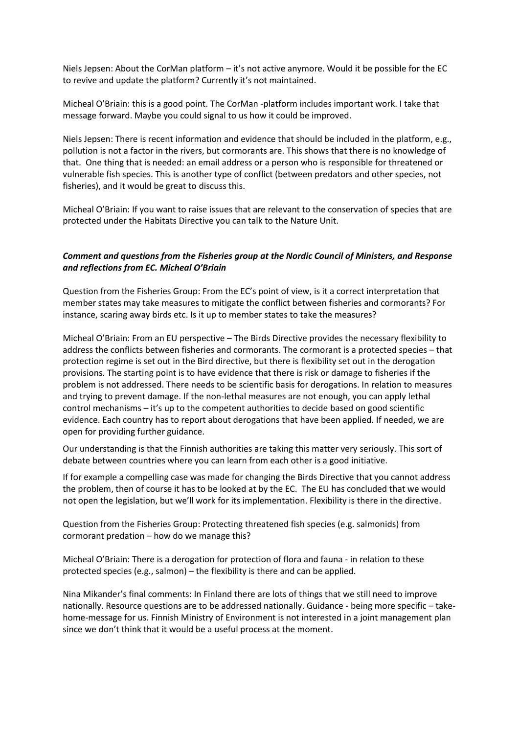Niels Jepsen: About the CorMan platform – it's not active anymore. Would it be possible for the EC to revive and update the platform? Currently it's not maintained.

Micheal O'Briain: this is a good point. The CorMan -platform includes important work. I take that message forward. Maybe you could signal to us how it could be improved.

Niels Jepsen: There is recent information and evidence that should be included in the platform, e.g., pollution is not a factor in the rivers, but cormorants are. This shows that there is no knowledge of that. One thing that is needed: an email address or a person who is responsible for threatened or vulnerable fish species. This is another type of conflict (between predators and other species, not fisheries), and it would be great to discuss this.

Micheal O'Briain: If you want to raise issues that are relevant to the conservation of species that are protected under the Habitats Directive you can talk to the Nature Unit.

#### *Comment and questions from the Fisheries group at the Nordic Council of Ministers, and Response and reflections from EC. Micheal O'Briain*

Question from the Fisheries Group: From the EC's point of view, is it a correct interpretation that member states may take measures to mitigate the conflict between fisheries and cormorants? For instance, scaring away birds etc. Is it up to member states to take the measures?

Micheal O'Briain: From an EU perspective – The Birds Directive provides the necessary flexibility to address the conflicts between fisheries and cormorants. The cormorant is a protected species – that protection regime is set out in the Bird directive, but there is flexibility set out in the derogation provisions. The starting point is to have evidence that there is risk or damage to fisheries if the problem is not addressed. There needs to be scientific basis for derogations. In relation to measures and trying to prevent damage. If the non-lethal measures are not enough, you can apply lethal control mechanisms – it's up to the competent authorities to decide based on good scientific evidence. Each country has to report about derogations that have been applied. If needed, we are open for providing further guidance.

Our understanding is that the Finnish authorities are taking this matter very seriously. This sort of debate between countries where you can learn from each other is a good initiative.

If for example a compelling case was made for changing the Birds Directive that you cannot address the problem, then of course it has to be looked at by the EC. The EU has concluded that we would not open the legislation, but we'll work for its implementation. Flexibility is there in the directive.

Question from the Fisheries Group: Protecting threatened fish species (e.g. salmonids) from cormorant predation – how do we manage this?

Micheal O'Briain: There is a derogation for protection of flora and fauna - in relation to these protected species (e.g., salmon) – the flexibility is there and can be applied.

Nina Mikander's final comments: In Finland there are lots of things that we still need to improve nationally. Resource questions are to be addressed nationally. Guidance - being more specific – takehome-message for us. Finnish Ministry of Environment is not interested in a joint management plan since we don't think that it would be a useful process at the moment.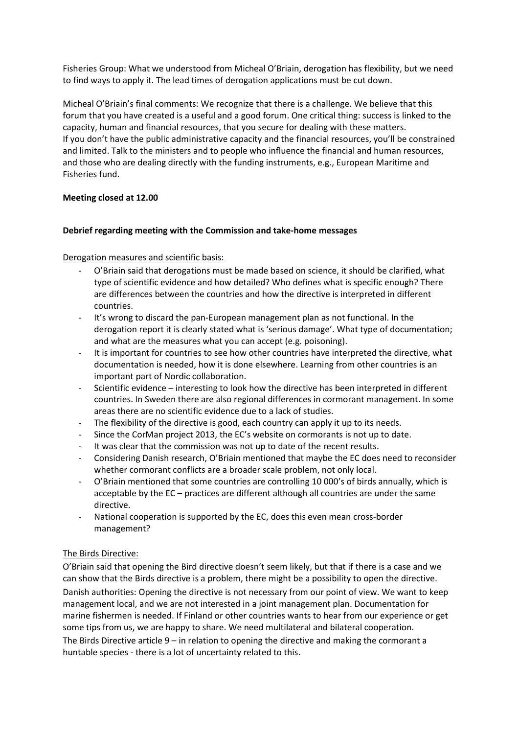Fisheries Group: What we understood from Micheal O'Briain, derogation has flexibility, but we need to find ways to apply it. The lead times of derogation applications must be cut down.

Micheal O'Briain's final comments: We recognize that there is a challenge. We believe that this forum that you have created is a useful and a good forum. One critical thing: success is linked to the capacity, human and financial resources, that you secure for dealing with these matters. If you don't have the public administrative capacity and the financial resources, you'll be constrained and limited. Talk to the ministers and to people who influence the financial and human resources, and those who are dealing directly with the funding instruments, e.g., European Maritime and Fisheries fund.

#### **Meeting closed at 12.00**

#### **Debrief regarding meeting with the Commission and take-home messages**

#### Derogation measures and scientific basis:

- O'Briain said that derogations must be made based on science, it should be clarified, what type of scientific evidence and how detailed? Who defines what is specific enough? There are differences between the countries and how the directive is interpreted in different countries.
- It's wrong to discard the pan-European management plan as not functional. In the derogation report it is clearly stated what is 'serious damage'. What type of documentation; and what are the measures what you can accept (e.g. poisoning).
- It is important for countries to see how other countries have interpreted the directive, what documentation is needed, how it is done elsewhere. Learning from other countries is an important part of Nordic collaboration.
- Scientific evidence interesting to look how the directive has been interpreted in different countries. In Sweden there are also regional differences in cormorant management. In some areas there are no scientific evidence due to a lack of studies.
- The flexibility of the directive is good, each country can apply it up to its needs.
- Since the CorMan project 2013, the EC's website on cormorants is not up to date.
- It was clear that the commission was not up to date of the recent results.
- Considering Danish research, O'Briain mentioned that maybe the EC does need to reconsider whether cormorant conflicts are a broader scale problem, not only local.
- O'Briain mentioned that some countries are controlling 10 000's of birds annually, which is acceptable by the EC – practices are different although all countries are under the same directive.
- National cooperation is supported by the EC, does this even mean cross-border management?

# The Birds Directive:

O'Briain said that opening the Bird directive doesn't seem likely, but that if there is a case and we can show that the Birds directive is a problem, there might be a possibility to open the directive. Danish authorities: Opening the directive is not necessary from our point of view. We want to keep management local, and we are not interested in a joint management plan. Documentation for marine fishermen is needed. If Finland or other countries wants to hear from our experience or get some tips from us, we are happy to share. We need multilateral and bilateral cooperation. The Birds Directive article  $9 -$  in relation to opening the directive and making the cormorant a huntable species - there is a lot of uncertainty related to this.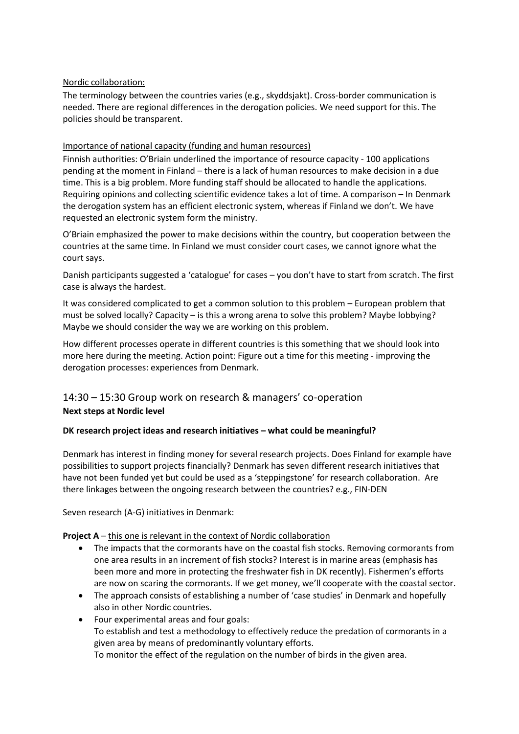# Nordic collaboration:

The terminology between the countries varies (e.g., skyddsjakt). Cross-border communication is needed. There are regional differences in the derogation policies. We need support for this. The policies should be transparent.

#### Importance of national capacity (funding and human resources)

Finnish authorities: O'Briain underlined the importance of resource capacity - 100 applications pending at the moment in Finland – there is a lack of human resources to make decision in a due time. This is a big problem. More funding staff should be allocated to handle the applications. Requiring opinions and collecting scientific evidence takes a lot of time. A comparison – In Denmark the derogation system has an efficient electronic system, whereas if Finland we don't. We have requested an electronic system form the ministry.

O'Briain emphasized the power to make decisions within the country, but cooperation between the countries at the same time. In Finland we must consider court cases, we cannot ignore what the court says.

Danish participants suggested a 'catalogue' for cases – you don't have to start from scratch. The first case is always the hardest.

It was considered complicated to get a common solution to this problem – European problem that must be solved locally? Capacity – is this a wrong arena to solve this problem? Maybe lobbying? Maybe we should consider the way we are working on this problem.

How different processes operate in different countries is this something that we should look into more here during the meeting. Action point: Figure out a time for this meeting - improving the derogation processes: experiences from Denmark.

# 14:30 – 15:30 Group work on research & managers' co-operation **Next steps at Nordic level**

#### **DK research project ideas and research initiatives – what could be meaningful?**

Denmark has interest in finding money for several research projects. Does Finland for example have possibilities to support projects financially? Denmark has seven different research initiatives that have not been funded yet but could be used as a 'steppingstone' for research collaboration. Are there linkages between the ongoing research between the countries? e.g., FIN-DEN

Seven research (A-G) initiatives in Denmark:

# **Project A** – this one is relevant in the context of Nordic collaboration

- The impacts that the cormorants have on the coastal fish stocks. Removing cormorants from one area results in an increment of fish stocks? Interest is in marine areas (emphasis has been more and more in protecting the freshwater fish in DK recently). Fishermen's efforts are now on scaring the cormorants. If we get money, we'll cooperate with the coastal sector.
- The approach consists of establishing a number of 'case studies' in Denmark and hopefully also in other Nordic countries.
- Four experimental areas and four goals: To establish and test a methodology to effectively reduce the predation of cormorants in a given area by means of predominantly voluntary efforts. To monitor the effect of the regulation on the number of birds in the given area.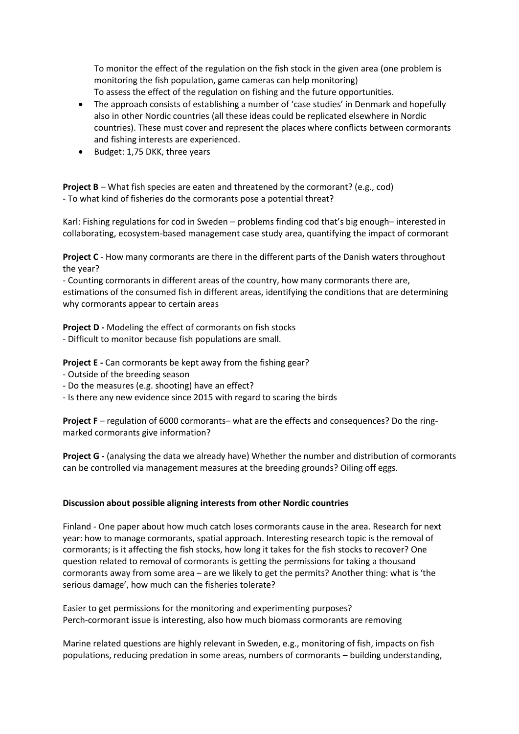To monitor the effect of the regulation on the fish stock in the given area (one problem is monitoring the fish population, game cameras can help monitoring) To assess the effect of the regulation on fishing and the future opportunities.

- The approach consists of establishing a number of 'case studies' in Denmark and hopefully also in other Nordic countries (all these ideas could be replicated elsewhere in Nordic countries). These must cover and represent the places where conflicts between cormorants and fishing interests are experienced.
- Budget: 1,75 DKK, three years

**Project B** – What fish species are eaten and threatened by the cormorant? (e.g., cod) - To what kind of fisheries do the cormorants pose a potential threat?

Karl: Fishing regulations for cod in Sweden – problems finding cod that's big enough– interested in collaborating, ecosystem-based management case study area, quantifying the impact of cormorant

**Project C** - How many cormorants are there in the different parts of the Danish waters throughout the year?

- Counting cormorants in different areas of the country, how many cormorants there are, estimations of the consumed fish in different areas, identifying the conditions that are determining why cormorants appear to certain areas

**Project D -** Modeling the effect of cormorants on fish stocks

- Difficult to monitor because fish populations are small.

**Project E -** Can cormorants be kept away from the fishing gear?

- Outside of the breeding season
- Do the measures (e.g. shooting) have an effect?
- Is there any new evidence since 2015 with regard to scaring the birds

**Project F** – regulation of 6000 cormorants– what are the effects and consequences? Do the ringmarked cormorants give information?

**Project G -** (analysing the data we already have) Whether the number and distribution of cormorants can be controlled via management measures at the breeding grounds? Oiling off eggs.

#### **Discussion about possible aligning interests from other Nordic countries**

Finland - One paper about how much catch loses cormorants cause in the area. Research for next year: how to manage cormorants, spatial approach. Interesting research topic is the removal of cormorants; is it affecting the fish stocks, how long it takes for the fish stocks to recover? One question related to removal of cormorants is getting the permissions for taking a thousand cormorants away from some area – are we likely to get the permits? Another thing: what is 'the serious damage', how much can the fisheries tolerate?

Easier to get permissions for the monitoring and experimenting purposes? Perch-cormorant issue is interesting, also how much biomass cormorants are removing

Marine related questions are highly relevant in Sweden, e.g., monitoring of fish, impacts on fish populations, reducing predation in some areas, numbers of cormorants – building understanding,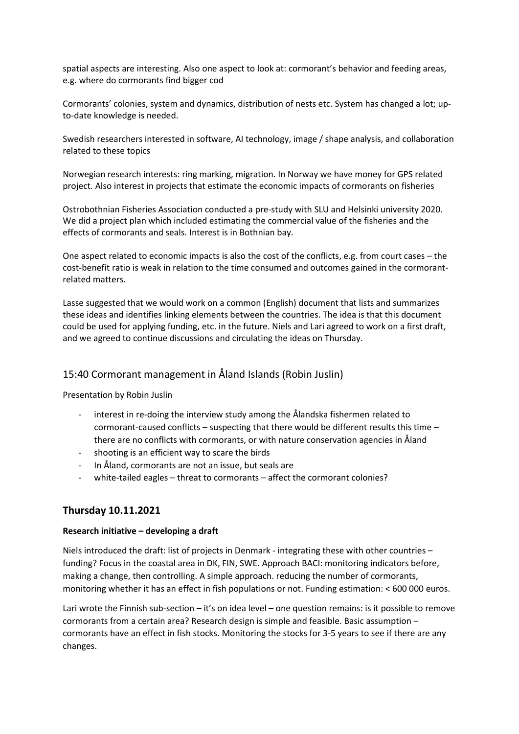spatial aspects are interesting. Also one aspect to look at: cormorant's behavior and feeding areas, e.g. where do cormorants find bigger cod

Cormorants' colonies, system and dynamics, distribution of nests etc. System has changed a lot; upto-date knowledge is needed.

Swedish researchers interested in software, AI technology, image / shape analysis, and collaboration related to these topics

Norwegian research interests: ring marking, migration. In Norway we have money for GPS related project. Also interest in projects that estimate the economic impacts of cormorants on fisheries

Ostrobothnian Fisheries Association conducted a pre-study with SLU and Helsinki university 2020. We did a project plan which included estimating the commercial value of the fisheries and the effects of cormorants and seals. Interest is in Bothnian bay.

One aspect related to economic impacts is also the cost of the conflicts, e.g. from court cases – the cost-benefit ratio is weak in relation to the time consumed and outcomes gained in the cormorantrelated matters.

Lasse suggested that we would work on a common (English) document that lists and summarizes these ideas and identifies linking elements between the countries. The idea is that this document could be used for applying funding, etc. in the future. Niels and Lari agreed to work on a first draft, and we agreed to continue discussions and circulating the ideas on Thursday.

# 15:40 Cormorant management in Åland Islands (Robin Juslin)

Presentation by Robin Juslin

- interest in re-doing the interview study among the Ålandska fishermen related to cormorant-caused conflicts – suspecting that there would be different results this time – there are no conflicts with cormorants, or with nature conservation agencies in Åland
- shooting is an efficient way to scare the birds
- In Åland, cormorants are not an issue, but seals are
- white-tailed eagles threat to cormorants affect the cormorant colonies?

# **Thursday 10.11.2021**

#### **Research initiative – developing a draft**

Niels introduced the draft: list of projects in Denmark - integrating these with other countries – funding? Focus in the coastal area in DK, FIN, SWE. Approach BACI: monitoring indicators before, making a change, then controlling. A simple approach. reducing the number of cormorants, monitoring whether it has an effect in fish populations or not. Funding estimation: < 600 000 euros.

Lari wrote the Finnish sub-section – it's on idea level – one question remains: is it possible to remove cormorants from a certain area? Research design is simple and feasible. Basic assumption – cormorants have an effect in fish stocks. Monitoring the stocks for 3-5 years to see if there are any changes.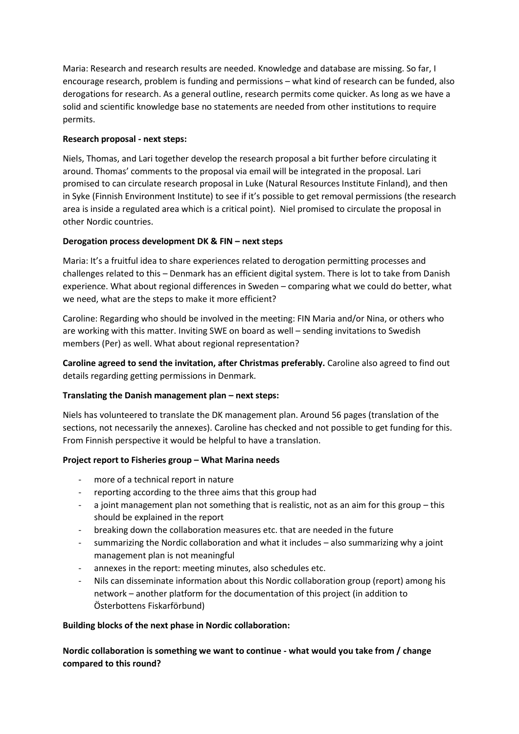Maria: Research and research results are needed. Knowledge and database are missing. So far, I encourage research, problem is funding and permissions – what kind of research can be funded, also derogations for research. As a general outline, research permits come quicker. As long as we have a solid and scientific knowledge base no statements are needed from other institutions to require permits.

# **Research proposal - next steps:**

Niels, Thomas, and Lari together develop the research proposal a bit further before circulating it around. Thomas' comments to the proposal via email will be integrated in the proposal. Lari promised to can circulate research proposal in Luke (Natural Resources Institute Finland), and then in Syke (Finnish Environment Institute) to see if it's possible to get removal permissions (the research area is inside a regulated area which is a critical point). Niel promised to circulate the proposal in other Nordic countries.

# **Derogation process development DK & FIN – next steps**

Maria: It's a fruitful idea to share experiences related to derogation permitting processes and challenges related to this – Denmark has an efficient digital system. There is lot to take from Danish experience. What about regional differences in Sweden – comparing what we could do better, what we need, what are the steps to make it more efficient?

Caroline: Regarding who should be involved in the meeting: FIN Maria and/or Nina, or others who are working with this matter. Inviting SWE on board as well – sending invitations to Swedish members (Per) as well. What about regional representation?

**Caroline agreed to send the invitation, after Christmas preferably.** Caroline also agreed to find out details regarding getting permissions in Denmark.

# **Translating the Danish management plan – next steps:**

Niels has volunteered to translate the DK management plan. Around 56 pages (translation of the sections, not necessarily the annexes). Caroline has checked and not possible to get funding for this. From Finnish perspective it would be helpful to have a translation.

# **Project report to Fisheries group – What Marina needs**

- more of a technical report in nature
- reporting according to the three aims that this group had
- a joint management plan not something that is realistic, not as an aim for this group  $-$  this should be explained in the report
- breaking down the collaboration measures etc. that are needed in the future
- summarizing the Nordic collaboration and what it includes also summarizing why a joint management plan is not meaningful
- annexes in the report: meeting minutes, also schedules etc.
- Nils can disseminate information about this Nordic collaboration group (report) among his network – another platform for the documentation of this project (in addition to Österbottens Fiskarförbund)

# **Building blocks of the next phase in Nordic collaboration:**

**Nordic collaboration is something we want to continue - what would you take from / change compared to this round?**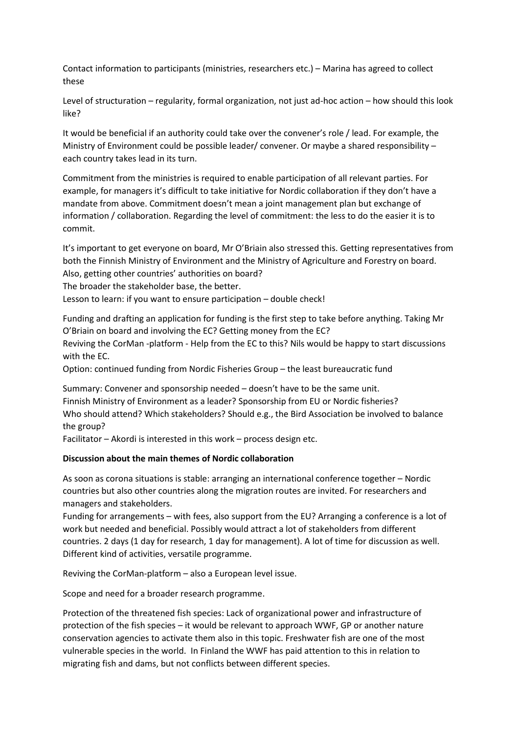Contact information to participants (ministries, researchers etc.) – Marina has agreed to collect these

Level of structuration – regularity, formal organization, not just ad-hoc action – how should this look like?

It would be beneficial if an authority could take over the convener's role / lead. For example, the Ministry of Environment could be possible leader/ convener. Or maybe a shared responsibility – each country takes lead in its turn.

Commitment from the ministries is required to enable participation of all relevant parties. For example, for managers it's difficult to take initiative for Nordic collaboration if they don't have a mandate from above. Commitment doesn't mean a joint management plan but exchange of information / collaboration. Regarding the level of commitment: the less to do the easier it is to commit.

It's important to get everyone on board, Mr O'Briain also stressed this. Getting representatives from both the Finnish Ministry of Environment and the Ministry of Agriculture and Forestry on board. Also, getting other countries' authorities on board?

The broader the stakeholder base, the better.

Lesson to learn: if you want to ensure participation – double check!

Funding and drafting an application for funding is the first step to take before anything. Taking Mr O'Briain on board and involving the EC? Getting money from the EC?

Reviving the CorMan -platform - Help from the EC to this? Nils would be happy to start discussions with the EC.

Option: continued funding from Nordic Fisheries Group – the least bureaucratic fund

Summary: Convener and sponsorship needed – doesn't have to be the same unit. Finnish Ministry of Environment as a leader? Sponsorship from EU or Nordic fisheries? Who should attend? Which stakeholders? Should e.g., the Bird Association be involved to balance the group?

Facilitator – Akordi is interested in this work – process design etc.

#### **Discussion about the main themes of Nordic collaboration**

As soon as corona situations is stable: arranging an international conference together – Nordic countries but also other countries along the migration routes are invited. For researchers and managers and stakeholders.

Funding for arrangements – with fees, also support from the EU? Arranging a conference is a lot of work but needed and beneficial. Possibly would attract a lot of stakeholders from different countries. 2 days (1 day for research, 1 day for management). A lot of time for discussion as well. Different kind of activities, versatile programme.

Reviving the CorMan-platform – also a European level issue.

Scope and need for a broader research programme.

Protection of the threatened fish species: Lack of organizational power and infrastructure of protection of the fish species – it would be relevant to approach WWF, GP or another nature conservation agencies to activate them also in this topic. Freshwater fish are one of the most vulnerable species in the world. In Finland the WWF has paid attention to this in relation to migrating fish and dams, but not conflicts between different species.